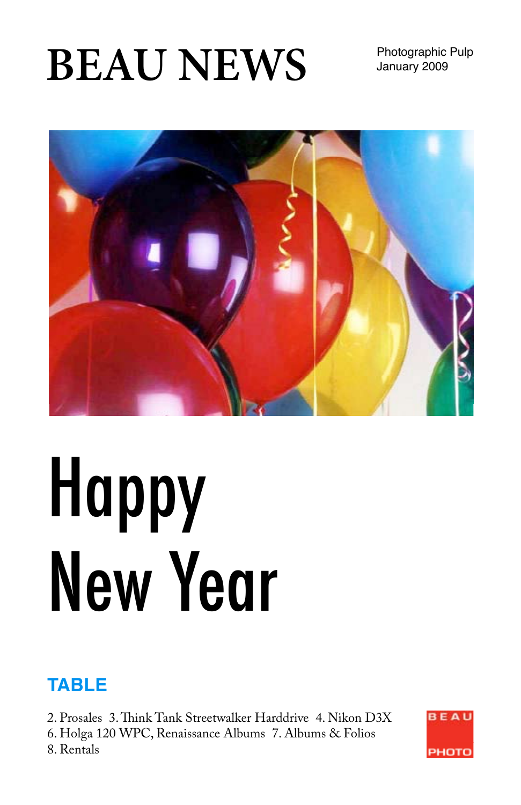# **BEAU NEWS** Photographic Pulp

January 2009



# Happy New Year

# **TABLE**

2. Prosales 3. Think Tank Streetwalker Harddrive 4. Nikon D3X 6. Holga 120 WPC, Renaissance Albums 7. Albums & Folios 8. Rentals

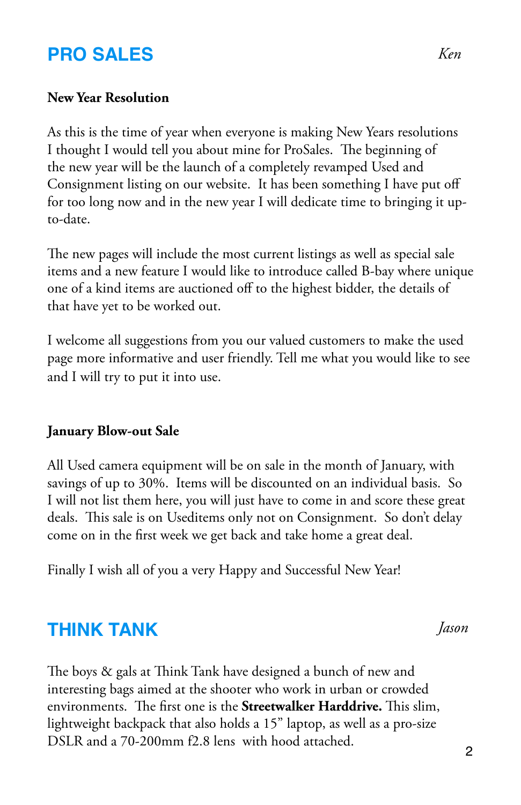#### **PRO SALES**

#### **New Year Resolution**

As this is the time of year when everyone is making New Years resolutions I thought I would tell you about mine for ProSales. The beginning of the new year will be the launch of a completely revamped Used and Consignment listing on our website. It has been something I have put off for too long now and in the new year I will dedicate time to bringing it upto-date.

The new pages will include the most current listings as well as special sale items and a new feature I would like to introduce called B-bay where unique one of a kind items are auctioned off to the highest bidder, the details of that have yet to be worked out.

I welcome all suggestions from you our valued customers to make the used page more informative and user friendly. Tell me what you would like to see and I will try to put it into use.

#### **January Blow-out Sale**

All Used camera equipment will be on sale in the month of January, with savings of up to 30%. Items will be discounted on an individual basis. So I will not list them here, you will just have to come in and score these great deals. This sale is on Useditems only not on Consignment. So don't delay come on in the first week we get back and take home a great deal.

Finally I wish all of you a very Happy and Successful New Year!

#### **THINK TANK**

The boys & gals at Think Tank have designed a bunch of new and interesting bags aimed at the shooter who work in urban or crowded environments. The first one is the **Streetwalker Harddrive.** This slim, lightweight backpack that also holds a 15" laptop, as well as a pro-size DSLR and a 70-200mm f2.8 lens with hood attached. <sup>2</sup>

*Jason*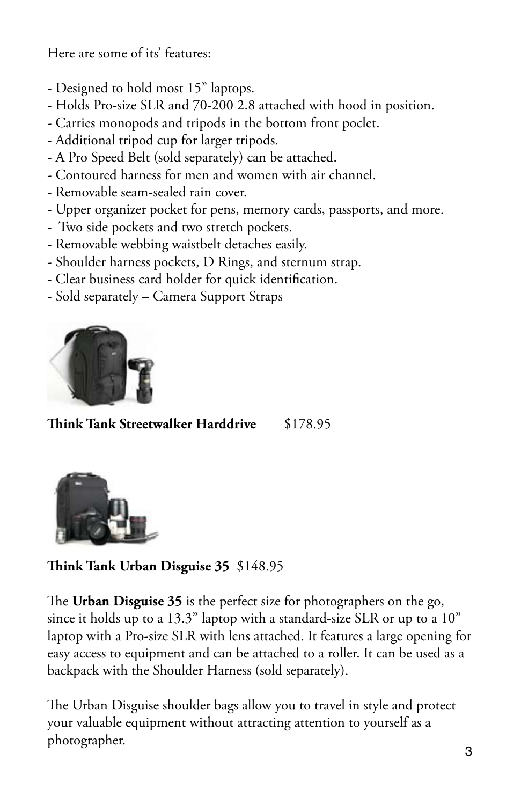Here are some of its' features:

- Designed to hold most 15" laptops.
- Holds Pro-size SLR and 70-200 2.8 attached with hood in position.
- Carries monopods and tripods in the bottom front poclet.
- Additional tripod cup for larger tripods.
- A Pro Speed Belt (sold separately) can be attached.
- Contoured harness for men and women with air channel.
- Removable seam-sealed rain cover.
- Upper organizer pocket for pens, memory cards, passports, and more.
- Two side pockets and two stretch pockets.
- Removable webbing waistbelt detaches easily.
- Shoulder harness pockets, D Rings, and sternum strap.
- Clear business card holder for quick identification.
- Sold separately Camera Support Straps



**Think Tank Streetwalker Harddrive** \$178.95



**Think Tank Urban Disguise 35** \$148.95

The **Urban Disguise 35** is the perfect size for photographers on the go, since it holds up to a 13.3" laptop with a standard-size SLR or up to a 10" laptop with a Pro-size SLR with lens attached. It features a large opening for easy access to equipment and can be attached to a roller. It can be used as a backpack with the Shoulder Harness (sold separately).

The Urban Disguise shoulder bags allow you to travel in style and protect your valuable equipment without attracting attention to yourself as a photographer.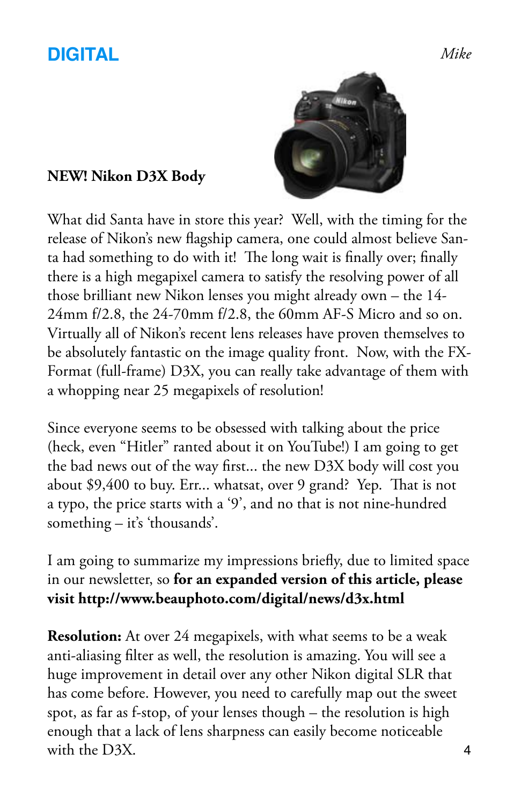## **DIGITAL**

#### **NEW! Nikon D3X Body**



What did Santa have in store this year? Well, with the timing for the release of Nikon's new flagship camera, one could almost believe Santa had something to do with it! The long wait is finally over; finally there is a high megapixel camera to satisfy the resolving power of all those brilliant new Nikon lenses you might already own – the 14- 24mm f/2.8, the 24-70mm f/2.8, the 60mm AF-S Micro and so on. Virtually all of Nikon's recent lens releases have proven themselves to be absolutely fantastic on the image quality front. Now, with the FX-Format (full-frame) D3X, you can really take advantage of them with a whopping near 25 megapixels of resolution!

Since everyone seems to be obsessed with talking about the price (heck, even "Hitler" ranted about it on YouTube!) I am going to get the bad news out of the way first... the new D3X body will cost you about \$9,400 to buy. Err... whatsat, over 9 grand? Yep. That is not a typo, the price starts with a '9', and no that is not nine-hundred something – it's 'thousands'.

I am going to summarize my impressions briefly, due to limited space in our newsletter, so **for an expanded version of this article, please visit http://www.beauphoto.com/digital/news/d3x.html** 

**Resolution:** At over 24 megapixels, with what seems to be a weak anti-aliasing filter as well, the resolution is amazing. You will see a huge improvement in detail over any other Nikon digital SLR that has come before. However, you need to carefully map out the sweet spot, as far as f-stop, of your lenses though – the resolution is high enough that a lack of lens sharpness can easily become noticeable with the D3X.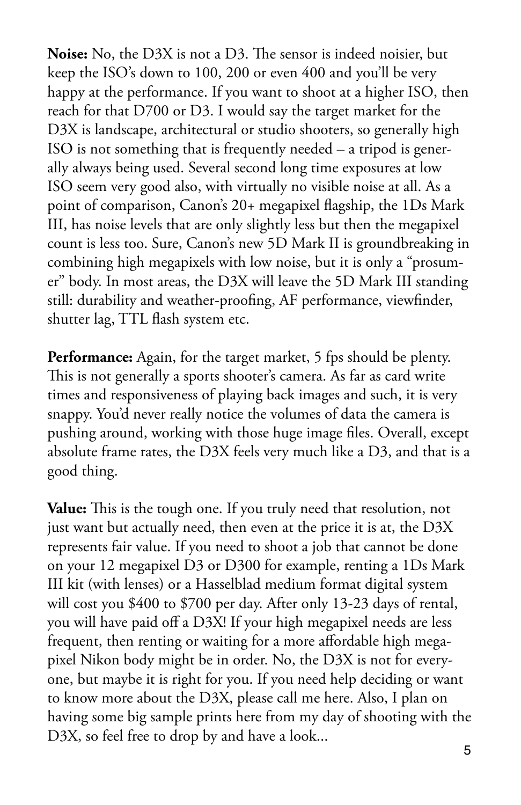**Noise:** No, the D3X is not a D3. The sensor is indeed noisier, but keep the ISO's down to 100, 200 or even 400 and you'll be very happy at the performance. If you want to shoot at a higher ISO, then reach for that D700 or D3. I would say the target market for the D3X is landscape, architectural or studio shooters, so generally high ISO is not something that is frequently needed – a tripod is generally always being used. Several second long time exposures at low ISO seem very good also, with virtually no visible noise at all. As a point of comparison, Canon's 20+ megapixel flagship, the 1Ds Mark III, has noise levels that are only slightly less but then the megapixel count is less too. Sure, Canon's new 5D Mark II is groundbreaking in combining high megapixels with low noise, but it is only a "prosumer" body. In most areas, the D3X will leave the 5D Mark III standing still: durability and weather-proofing, AF performance, viewfinder, shutter lag, TTL flash system etc.

Performance: Again, for the target market, 5 fps should be plenty. This is not generally a sports shooter's camera. As far as card write times and responsiveness of playing back images and such, it is very snappy. You'd never really notice the volumes of data the camera is pushing around, working with those huge image files. Overall, except absolute frame rates, the D3X feels very much like a D3, and that is a good thing.

**Value:** This is the tough one. If you truly need that resolution, not just want but actually need, then even at the price it is at, the D3X represents fair value. If you need to shoot a job that cannot be done on your 12 megapixel D3 or D300 for example, renting a 1Ds Mark III kit (with lenses) or a Hasselblad medium format digital system will cost you \$400 to \$700 per day. After only 13-23 days of rental, you will have paid off a D3X! If your high megapixel needs are less frequent, then renting or waiting for a more affordable high megapixel Nikon body might be in order. No, the D3X is not for everyone, but maybe it is right for you. If you need help deciding or want to know more about the D3X, please call me here. Also, I plan on having some big sample prints here from my day of shooting with the D3X, so feel free to drop by and have a look...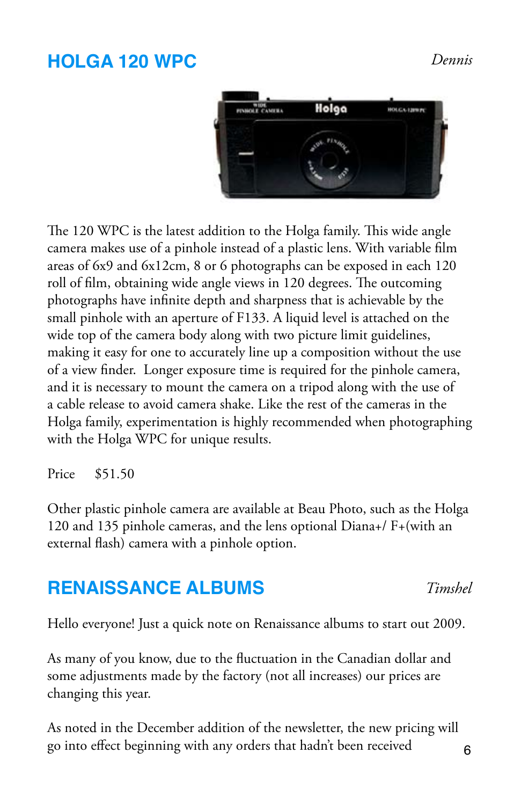#### **HOLGA 120 WPC**



The 120 WPC is the latest addition to the Holga family. This wide angle camera makes use of a pinhole instead of a plastic lens. With variable film areas of 6x9 and 6x12cm, 8 or 6 photographs can be exposed in each 120 roll of film, obtaining wide angle views in 120 degrees. The outcoming photographs have infinite depth and sharpness that is achievable by the small pinhole with an aperture of F133. A liquid level is attached on the wide top of the camera body along with two picture limit guidelines, making it easy for one to accurately line up a composition without the use of a view finder. Longer exposure time is required for the pinhole camera, and it is necessary to mount the camera on a tripod along with the use of a cable release to avoid camera shake. Like the rest of the cameras in the Holga family, experimentation is highly recommended when photographing with the Holga WPC for unique results.

Price \$51.50

Other plastic pinhole camera are available at Beau Photo, such as the Holga 120 and 135 pinhole cameras, and the lens optional Diana+/ F+(with an external flash) camera with a pinhole option.

#### **RENAISSANCE ALBUMS**

Hello everyone! Just a quick note on Renaissance albums to start out 2009.

As many of you know, due to the fluctuation in the Canadian dollar and some adjustments made by the factory (not all increases) our prices are changing this year.

As noted in the December addition of the newsletter, the new pricing will go into effect beginning with any orders that hadn't been received

*Timshel*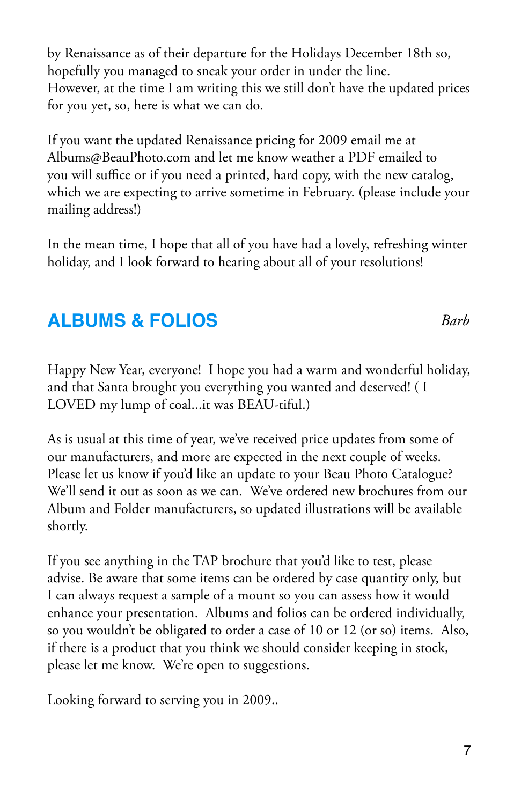by Renaissance as of their departure for the Holidays December 18th so, hopefully you managed to sneak your order in under the line. However, at the time I am writing this we still don't have the updated prices for you yet, so, here is what we can do.

If you want the updated Renaissance pricing for 2009 email me at Albums@BeauPhoto.com and let me know weather a PDF emailed to you will suffice or if you need a printed, hard copy, with the new catalog, which we are expecting to arrive sometime in February. (please include your mailing address!)

In the mean time, I hope that all of you have had a lovely, refreshing winter holiday, and I look forward to hearing about all of your resolutions!

### **ALBUMS & FOLIOS**

Happy New Year, everyone! I hope you had a warm and wonderful holiday, and that Santa brought you everything you wanted and deserved! ( I LOVED my lump of coal...it was BEAU-tiful.)

As is usual at this time of year, we've received price updates from some of our manufacturers, and more are expected in the next couple of weeks. Please let us know if you'd like an update to your Beau Photo Catalogue? We'll send it out as soon as we can. We've ordered new brochures from our Album and Folder manufacturers, so updated illustrations will be available shortly.

If you see anything in the TAP brochure that you'd like to test, please advise. Be aware that some items can be ordered by case quantity only, but I can always request a sample of a mount so you can assess how it would enhance your presentation. Albums and folios can be ordered individually, so you wouldn't be obligated to order a case of 10 or 12 (or so) items. Also, if there is a product that you think we should consider keeping in stock, please let me know. We're open to suggestions.

Looking forward to serving you in 2009..

*Barb*